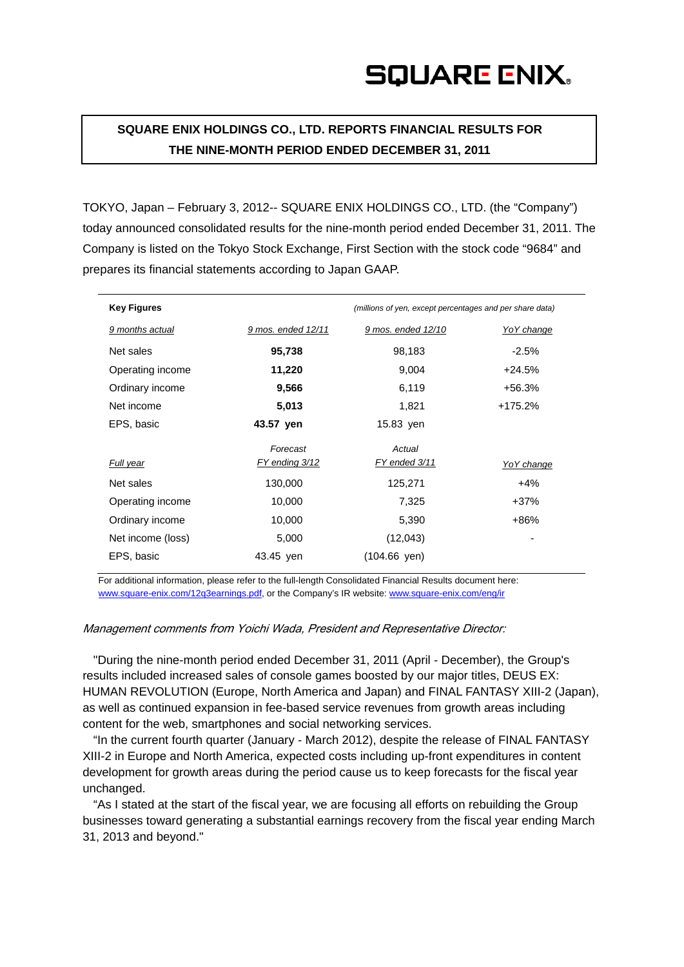**SQUARE ENIX HOLDINGS CO., LTD. REPORTS FINANCIAL RESULTS FOR THE NINE-MONTH PERIOD ENDED DECEMBER 31, 2011** 

TOKYO, Japan – February 3, 2012-- SQUARE ENIX HOLDINGS CO., LTD. (the "Company") today announced consolidated results for the nine-month period ended December 31, 2011. The Company is listed on the Tokyo Stock Exchange, First Section with the stock code "9684" and prepares its financial statements according to Japan GAAP.

| <b>Key Figures</b> |                    | (millions of yen, except percentages and per share data) |            |
|--------------------|--------------------|----------------------------------------------------------|------------|
| 9 months actual    | 9 mos. ended 12/11 | 9 mos. ended 12/10                                       | YoY change |
| Net sales          | 95,738             | 98,183                                                   | $-2.5\%$   |
| Operating income   | 11,220             | 9,004                                                    | $+24.5%$   |
| Ordinary income    | 9,566              | 6,119                                                    | +56.3%     |
| Net income         | 5,013              | 1,821                                                    | $+175.2%$  |
| EPS, basic         | 43.57 yen          | 15.83 yen                                                |            |
|                    | Forecast           | Actual                                                   |            |
| Full year          | FY ending 3/12     | FY ended 3/11                                            | YoY change |
| Net sales          | 130,000            | 125,271                                                  | $+4%$      |
| Operating income   | 10,000             | 7,325                                                    | +37%       |
| Ordinary income    | 10,000             | 5,390                                                    | +86%       |
| Net income (loss)  | 5,000              | (12,043)                                                 |            |
| EPS, basic         | 43.45 yen          | $(104.66 \text{ yen})$                                   |            |

For additional information, please refer to the full-length Consolidated Financial Results document here: www.square-enix.com/12q3earnings.pdf, or the Company's IR website: www.square-enix.com/eng/ir

## Management comments from Yoichi Wada, President and Representative Director:

"During the nine-month period ended December 31, 2011 (April - December), the Group's results included increased sales of console games boosted by our major titles, DEUS EX: HUMAN REVOLUTION (Europe, North America and Japan) and FINAL FANTASY XIII-2 (Japan), as well as continued expansion in fee-based service revenues from growth areas including content for the web, smartphones and social networking services.

"In the current fourth quarter (January - March 2012), despite the release of FINAL FANTASY XIII-2 in Europe and North America, expected costs including up-front expenditures in content development for growth areas during the period cause us to keep forecasts for the fiscal year unchanged.

"As I stated at the start of the fiscal year, we are focusing all efforts on rebuilding the Group businesses toward generating a substantial earnings recovery from the fiscal year ending March 31, 2013 and beyond."